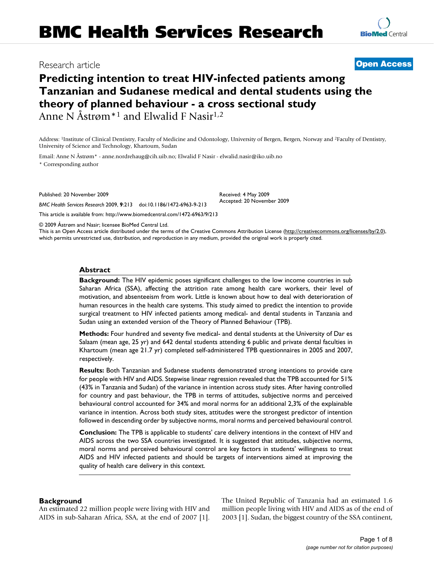# **Predicting intention to treat HIV-infected patients among Tanzanian and Sudanese medical and dental students using the theory of planned behaviour - a cross sectional study** Anne N Åstrøm<sup>\*1</sup> and Elwalid F Nasir<sup>1,2</sup>

Address: 1Institute of Clinical Dentistry, Faculty of Medicine and Odontology, University of Bergen, Bergen, Norway and 2Faculty of Dentistry, University of Science and Technology, Khartoum, Sudan

Email: Anne N Åstrøm\* - anne.nordrehaug@cih.uib.no; Elwalid F Nasir - elwalid.nasir@iko.uib.no

\* Corresponding author

Published: 20 November 2009

*BMC Health Services Research* 2009, **9**:213 doi:10.1186/1472-6963-9-213

[This article is available from: http://www.biomedcentral.com/1472-6963/9/213](http://www.biomedcentral.com/1472-6963/9/213)

© 2009 Åstrøm and Nasir; licensee BioMed Central Ltd.

This is an Open Access article distributed under the terms of the Creative Commons Attribution License [\(http://creativecommons.org/licenses/by/2.0\)](http://creativecommons.org/licenses/by/2.0), which permits unrestricted use, distribution, and reproduction in any medium, provided the original work is properly cited.

# **Abstract**

**Background:** The HIV epidemic poses significant challenges to the low income countries in sub Saharan Africa (SSA), affecting the attrition rate among health care workers, their level of motivation, and absenteeism from work. Little is known about how to deal with deterioration of human resources in the health care systems. This study aimed to predict the intention to provide surgical treatment to HIV infected patients among medical- and dental students in Tanzania and Sudan using an extended version of the Theory of Planned Behaviour (TPB).

**Methods:** Four hundred and seventy five medical- and dental students at the University of Dar es Salaam (mean age, 25 yr) and 642 dental students attending 6 public and private dental faculties in Khartoum (mean age 21.7 yr) completed self-administered TPB questionnaires in 2005 and 2007, respectively.

**Results:** Both Tanzanian and Sudanese students demonstrated strong intentions to provide care for people with HIV and AIDS. Stepwise linear regression revealed that the TPB accounted for 51% (43% in Tanzania and Sudan) of the variance in intention across study sites. After having controlled for country and past behaviour, the TPB in terms of attitudes, subjective norms and perceived behavioural control accounted for 34% and moral norms for an additional 2,3% of the explainable variance in intention. Across both study sites, attitudes were the strongest predictor of intention followed in descending order by subjective norms, moral norms and perceived behavioural control.

**Conclusion:** The TPB is applicable to students' care delivery intentions in the context of HIV and AIDS across the two SSA countries investigated. It is suggested that attitudes, subjective norms, moral norms and perceived behavioural control are key factors in students' willingness to treat AIDS and HIV infected patients and should be targets of interventions aimed at improving the quality of health care delivery in this context.

# **Background**

An estimated 22 million people were living with HIV and AIDS in sub-Saharan Africa, SSA, at the end of 2007 [1]. The United Republic of Tanzania had an estimated 1.6 million people living with HIV and AIDS as of the end of 2003 [1]. Sudan, the biggest country of the SSA continent,



# Research article **[Open Access](http://www.biomedcentral.com/info/about/charter/)**

Received: 4 May 2009 Accepted: 20 November 2009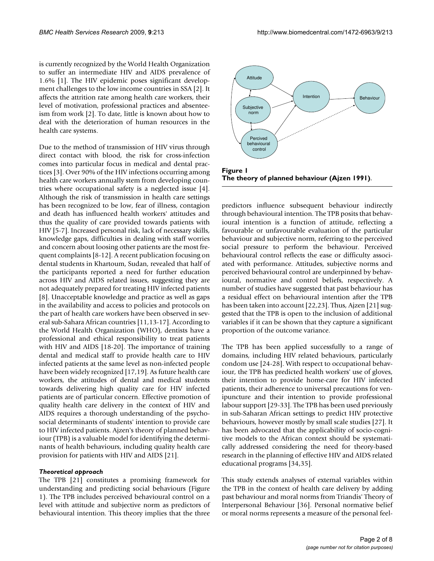is currently recognized by the World Health Organization to suffer an intermediate HIV and AIDS prevalence of 1.6% [1]. The HIV epidemic poses significant development challenges to the low income countries in SSA [2]. It affects the attrition rate among health care workers, their level of motivation, professional practices and absenteeism from work [2]. To date, little is known about how to deal with the deterioration of human resources in the health care systems.

Due to the method of transmission of HIV virus through direct contact with blood, the risk for cross-infection comes into particular focus in medical and dental practices [3]. Over 90% of the HIV infections occurring among health care workers annually stem from developing countries where occupational safety is a neglected issue [4]. Although the risk of transmission in health care settings has been recognized to be low, fear of illness, contagion and death has influenced health workers' attitudes and thus the quality of care provided towards patients with HIV [5-7]. Increased personal risk, lack of necessary skills, knowledge gaps, difficulties in dealing with staff worries and concern about loosing other patients are the most frequent complaints [8-12]. A recent publication focusing on dental students in Khartoum, Sudan, revealed that half of the participants reported a need for further education across HIV and AIDS related issues, suggesting they are not adequately prepared for treating HIV infected patients [8]. Unacceptable knowledge and practice as well as gaps in the availability and access to policies and protocols on the part of health care workers have been observed in several sub-Sahara African countries [11,13-17]. According to the World Health Organization (WHO), dentists have a professional and ethical responsibility to treat patients with HIV and AIDS [18-20]. The importance of training dental and medical staff to provide health care to HIV infected patients at the same level as non-infected people have been widely recognized [17,19]. As future health care workers, the attitudes of dental and medical students towards delivering high quality care for HIV infected patients are of particular concern. Effective promotion of quality health care delivery in the context of HIV and AIDS requires a thorough understanding of the psychosocial determinants of students' intention to provide care to HIV infected patients. Ajzen's theory of planned behaviour (TPB) is a valuable model for identifying the determinants of health behaviours, including quality health care provision for patients with HIV and AIDS [21].

#### *Theoretical approach*

The TPB [21] constitutes a promising framework for understanding and predicting social behaviours (Figure 1). The TPB includes perceived behavioural control on a level with attitude and subjective norm as predictors of behavioural intention. This theory implies that the three



**The theory of planned behaviour (Ajzen 1991)**.

predictors influence subsequent behaviour indirectly through behavioural intention. The TPB posits that behavioural intention is a function of attitude, reflecting a favourable or unfavourable evaluation of the particular behaviour and subjective norm, referring to the perceived social pressure to perform the behaviour. Perceived behavioural control reflects the ease or difficulty associated with performance. Attitudes, subjective norms and perceived behavioural control are underpinned by behavioural, normative and control beliefs, respectively. A number of studies have suggested that past behaviour has a residual effect on behavioural intention after the TPB has been taken into account [22,23]. Thus, Ajzen [21] suggested that the TPB is open to the inclusion of additional variables if it can be shown that they capture a significant proportion of the outcome variance.

The TPB has been applied successfully to a range of domains, including HIV related behaviours, particularly condom use [24-28]. With respect to occupational behaviour, the TPB has predicted health workers' use of gloves, their intention to provide home-care for HIV infected patients, their adherence to universal precautions for venipuncture and their intention to provide professional labour support [29-33]. The TPB has been used previously in sub-Saharan African settings to predict HIV protective behaviours, however mostly by small scale studies [27]. It has been advocated that the applicability of socio-cognitive models to the African context should be systematically addressed considering the need for theory-based research in the planning of effective HIV and AIDS related educational programs [34,35].

This study extends analyses of external variables within the TPB in the context of health care delivery by adding past behaviour and moral norms from Triandis' Theory of Interpersonal Behaviour [36]. Personal normative belief or moral norms represents a measure of the personal feel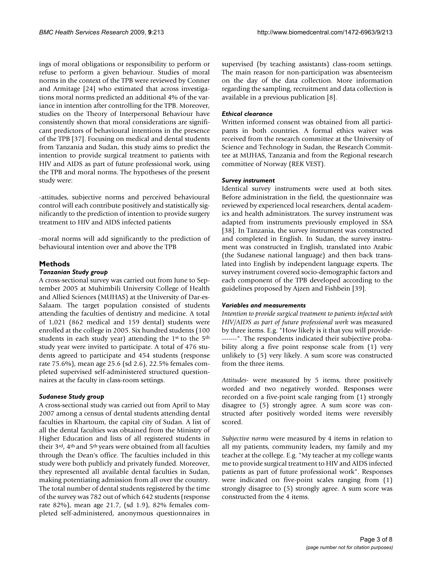ings of moral obligations or responsibility to perform or refuse to perform a given behaviour. Studies of moral norms in the context of the TPB were reviewed by Conner and Armitage [24] who estimated that across investigations moral norms predicted an additional 4% of the variance in intention after controlling for the TPB. Moreover, studies on the Theory of Interpersonal Behaviour have consistently shown that moral considerations are significant predictors of behavioural intentions in the presence of the TPB [37]. Focusing on medical and dental students from Tanzania and Sudan, this study aims to predict the intention to provide surgical treatment to patients with HIV and AIDS as part of future professional work, using the TPB and moral norms. The hypotheses of the present study were:

-attitudes, subjective norms and perceived behavioural control will each contribute positively and statistically significantly to the prediction of intention to provide surgery treatment to HIV and AIDS infected patients

-moral norms will add significantly to the prediction of behavioural intention over and above the TPB

# **Methods**

# *Tanzanian Study group*

A cross-sectional survey was carried out from June to September 2005 at Muhimbili University College of Health and Allied Sciences (MUHAS) at the University of Dar-es-Salaam. The target population consisted of students attending the faculties of dentistry and medicine. A total of 1,021 (862 medical and 159 dental) students were enrolled at the college in 2005. Six hundred students (100 students in each study year) attending the 1<sup>st</sup> to the 5<sup>th</sup> study year were invited to participate. A total of 476 students agreed to participate and 454 students (response rate 75.6%), mean age 25.6 (sd 2.6), 22.5% females completed supervised self-administered structured questionnaires at the faculty in class-room settings.

# *Sudanese Study group*

A cross-sectional study was carried out from April to May 2007 among a census of dental students attending dental faculties in Khartoum, the capital city of Sudan. A list of all the dental faculties was obtained from the Ministry of Higher Education and lists of all registered students in their 3rd, 4th and 5th years were obtained from all faculties through the Dean's office. The faculties included in this study were both publicly and privately funded. Moreover, they represented all available dental faculties in Sudan, making potentiating admission from all over the country. The total number of dental students registered by the time of the survey was 782 out of which 642 students (response rate 82%), mean age 21.7, (sd 1.9), 82% females completed self-administered, anonymous questionnaires in supervised (by teaching assistants) class-room settings. The main reason for non-participation was absenteeism on the day of the data collection. More information regarding the sampling, recruitment and data collection is available in a previous publication [8].

# *Ethical clearance*

Written informed consent was obtained from all participants in both countries. A formal ethics waiver was received from the research committee at the University of Science and Technology in Sudan, the Research Committee at MUHAS, Tanzania and from the Regional research committee of Norway (REK VEST).

# *Survey instrument*

Identical survey instruments were used at both sites. Before administration in the field, the questionnaire was reviewed by experienced local researchers, dental academics and health administrators. The survey instrument was adapted from instruments previously employed in SSA [38]. In Tanzania, the survey instrument was constructed and completed in English. In Sudan, the survey instrument was constructed in English, translated into Arabic (the Sudanese national language) and then back translated into English by independent language experts. The survey instrument covered socio-demographic factors and each component of the TPB developed according to the guidelines proposed by Ajzen and Fishbein [39].

# *Variables and measurements*

*Intention to provide surgical treatment to patients infected with HIV/AIDS as part of future professional work* was measured by three items. E.g. "How likely is it that you will provide- -------". The respondents indicated their subjective probability along a five point response scale from (1) very unlikely to (5) very likely. A sum score was constructed from the three items.

*Attitudes-* were measured by 5 items, three positively worded and two negatively worded. Responses were recorded on a five-point scale ranging from (1) strongly disagree to (5) strongly agree. A sum score was constructed after positively worded items were reversibly scored.

*Subjective norms* were measured by 4 items in relation to all my patients, community leaders, my family and my teacher at the college. E.g. "My teacher at my college wants me to provide surgical treatment to HIV and AIDS infected patients as part of future professional work". Responses were indicated on five-point scales ranging from (1) strongly disagree to (5) strongly agree. A sum score was constructed from the 4 items.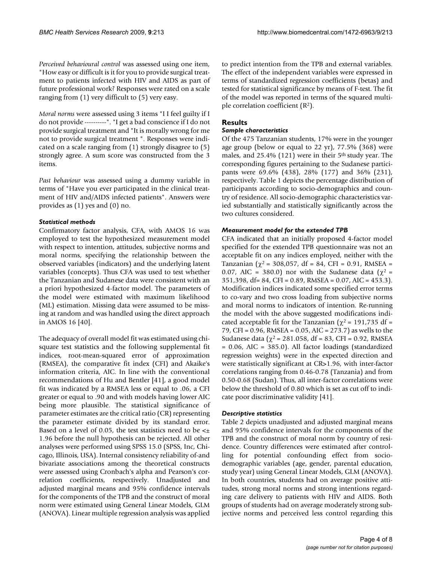*Perceived behavioural control* was assessed using one item, "How easy or difficult is it for you to provide surgical treatment to patients infected with HIV and AIDS as part of future professional work? Responses were rated on a scale ranging from (1) very difficult to (5) very easy.

*Moral norms* were assessed using 3 items "I I feel guilty if I do not provide ----------". "I get a bad conscience if I do not provide surgical treatment and "It is morally wrong for me not to provide surgical treatment ". Responses were indicated on a scale ranging from (1) strongly disagree to (5) strongly agree. A sum score was constructed from the 3 items.

*Past behaviour* was assessed using a dummy variable in terms of "Have you ever participated in the clinical treatment of HIV and/AIDS infected patients". Answers were provides as (1) yes and (0) no.

# *Statistical methods*

Confirmatory factor analysis, CFA, with AMOS 16 was employed to test the hypothesized measurement model with respect to intention, attitudes, subjective norms and moral norms, specifying the relationship between the observed variables (indicators) and the underlying latent variables (concepts). Thus CFA was used to test whether the Tanzanian and Sudanese data were consistent with an a priori hypothesized 4-factor model. The parameters of the model were estimated with maximum likelihood (ML) estimation. Missing data were assumed to be missing at random and was handled using the direct approach in AMOS 16 [40].

The adequacy of overall model fit was estimated using chisquare test statistics and the following supplemental fit indices, root-mean-squared error of approximation (RMSEA), the comparative fit index (CFI) and Akaike's information criteria, AIC. In line with the conventional recommendations of Hu and Bentler [41], a good model fit was indicated by a RMSEA less or equal to .06, a CFI greater or equal to .90 and with models having lower AIC being more plausible. The statistical significance of parameter estimates are the critical ratio (CR) representing the parameter estimate divided by its standard error. Based on a level of 0.05, the test statistics need to be  $\lt\pm$ 1.96 before the null hypothesis can be rejected. All other analyses were performed using SPSS 15.0 (SPSS, Inc, Chicago, Illinois, USA). Internal consistency reliability of-and bivariate associations among the theoretical constructs were assessed using Cronbach's alpha and Pearson's correlation coefficients, respectively. Unadjusted and adjusted marginal means and 95% confidence intervals for the components of the TPB and the construct of moral norm were estimated using General Linear Models, GLM (ANOVA). Linear multiple regression analysis was applied

to predict intention from the TPB and external variables. The effect of the independent variables were expressed in terms of standardized regression coefficients (betas) and tested for statistical significance by means of F-test. The fit of the model was reported in terms of the squared multiple correlation coefficient (R2).

# **Results**

# *Sample characteristics*

Of the 475 Tanzanian students, 17% were in the younger age group (below or equal to 22 yr), 77.5% (368) were males, and 25.4% (121) were in their 5<sup>th</sup> study year. The corresponding figures pertaining to the Sudanese participants were 69.6% (438), 28% (177) and 36% (231), respectively. Table 1 depicts the percentage distribution of participants according to socio-demographics and country of residence. All socio-demographic characteristics varied substantially and statistically significantly across the two cultures considered.

# *Measurement model for the extended TPB*

CFA indicated that an initially proposed 4-factor model specified for the extended TPB questionnaire was not an acceptable fit on any indices employed, neither with the Tanzanian ( $χ² = 308,057$ , df = 84, CFI = 0.91, RMSEA = 0.07, AIC = 380.0) nor with the Sudanese data ( $\chi^2$  = 351,398, df= 84, CFI = 0.89, RMSEA = 0.07, AIC = 453.3). Modification indices indicated some specified error terms to co-vary and two cross loading from subjective norms and moral norms to indicators of intention. Re-running the model with the above suggested modifications indicated acceptable fit for the Tanzanian ( $\chi^2$  = 191,735 df = 79, CFI = 0.96, RMSEA = 0.05, AIC = 273.7) as wells to the Sudanese data ( $χ² = 281.058$ , df = 83, CFI = 0.92, RMSEA  $= 0.06$ , AIC  $= 385.0$ ). All factor loadings (standardized regression weights) were in the expected direction and were statistically significant at CR>1.96, with inter-factor correlations ranging from 0.46-0.78 (Tanzania) and from 0.50-0.68 (Sudan). Thus, all inter-factor correlations were below the threshold of 0.80 which is set as cut off to indicate poor discriminative validity [41].

# *Descriptive statistics*

Table 2 depicts unadjusted and adjusted marginal means and 95% confidence intervals for the components of the TPB and the construct of moral norm by country of residence. Country differences were estimated after controlling for potential confounding effect from sociodemographic variables (age, gender, parental education, study year) using General Linear Models, GLM (ANOVA). In both countries, students had on average positive attitudes, strong moral norms and strong intentions regarding care delivery to patients with HIV and AIDS. Both groups of students had on average moderately strong subjective norms and perceived less control regarding this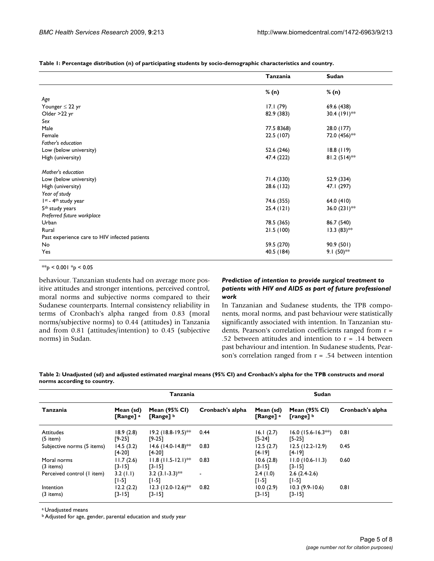|                                               | Tanzania   | Sudan                      |  |
|-----------------------------------------------|------------|----------------------------|--|
|                                               | % (n)      | % (n)                      |  |
| Age                                           |            |                            |  |
| Younger $\leq$ 22 yr                          | 17.1(79)   | 69.6 (438)                 |  |
| Older >22 yr                                  | 82.9 (383) | 30.4 $(191)$ **            |  |
| Sex                                           |            |                            |  |
| Male                                          | 77.5 8368) | 28.0 (177)                 |  |
| Female                                        | 22.5 (107) | 72.0 (456)**               |  |
| <b>Father's education</b>                     |            |                            |  |
| Low (below university)                        | 52.6 (246) | 18.8(119)                  |  |
| High (university)                             | 47.4 (222) | 81.2 $(514)$ <sup>**</sup> |  |
| Mother's education                            |            |                            |  |
| Low (below university)                        | 71.4 (330) | 52.9 (334)                 |  |
| High (university)                             | 28.6 (132) | 47.1 (297)                 |  |
| Year of study                                 |            |                            |  |
| I <sup>st</sup> - 4 <sup>th</sup> study year  | 74.6 (355) | 64.0(410)                  |  |
| 5 <sup>th</sup> study years                   | 25.4(121)  | 36.0 (231)**               |  |
| Preferred future workplace                    |            |                            |  |
| Urban                                         | 78.5 (365) | 86.7 (540)                 |  |
| Rural                                         | 21.5(100)  | $13.3(83)$ **              |  |
| Past experience care to HIV infected patients |            |                            |  |
| No                                            | 59.5 (270) | 90.9(501)                  |  |
| Yes                                           | 40.5 (184) | 9.1 $(50)$ **              |  |

**Table 1: Percentage distribution (n) of participating students by socio-demographic characteristics and country.**

 $**_{\text{p}}$  < 0.001  $*_{\text{p}}$  < 0.05

behaviour. Tanzanian students had on average more positive attitudes and stronger intentions, perceived control, moral norms and subjective norms compared to their Sudanese counterparts. Internal consistency reliability in terms of Cronbach's alpha ranged from 0.83 (moral norms/subjective norms) to 0.44 (attitudes) in Tanzania and from 0.81 (attitudes/intention) to 0.45 (subjective norms) in Sudan.

# *Prediction of intention to provide surgical treatment to patients with HIV and AIDS as part of future professional work*

In Tanzanian and Sudanese students, the TPB components, moral norms, and past behaviour were statistically significantly associated with intention. In Tanzanian students, Pearson's correlation coefficients ranged from r = .52 between attitudes and intention to  $r = .14$  between past behaviour and intention. In Sudanese students, Pearson's correlation ranged from  $r = .54$  between intention

|                                                        | Tanzania                                          |                                                                                 |                  | Sudan                                        |                                                              |                  |
|--------------------------------------------------------|---------------------------------------------------|---------------------------------------------------------------------------------|------------------|----------------------------------------------|--------------------------------------------------------------|------------------|
| Tanzania                                               | Mean (sd)<br>[Range] $a$                          | <b>Mean (95% CI)</b><br>$[Range]$ <sup>b</sup>                                  | Cronbach's alpha | Mean (sd)<br>[Range] $a$                     | <b>Mean (95% CI)</b><br>$[range]$ <sup>b</sup>               | Cronbach's alpha |
| <b>Attitudes</b><br>$(5$ item)                         | 18.9(2.8)<br>$[9-25]$                             | $19.2$ (18.8-19.5) <sup>**</sup><br>$[9-25]$                                    | 0.44             | 16.1(2.7)<br>$[5-24]$                        | $16.0$ (15.6-16.3 <sup>**</sup> )<br>$[5-25]$                | 0.81             |
| Subjective norms (5 items)                             | 14.5(3.2)<br>$[4-20]$                             | $14.6$ (14.0-14.8) <sup>**</sup><br>$[4-20]$                                    | 0.83             | 12.5(2.7)<br>[4-19]                          | $12.5(12.2-12.9)$<br>$[4-19]$                                | 0.45             |
| Moral norms<br>(3 items)<br>Perceived control (1 item) | 11.7(2.6)<br>$[3 - 15]$<br>$3.2$ (1.1)<br>$[1-5]$ | $11.8$ (11.5-12.1) <sup>**</sup><br>$[3 - 15]$<br>3.2 $(3.1-3.3)$ **<br>$[1-5]$ | 0.83<br>۰        | 10.6(2.8)<br>$[3-15]$<br>2.4(1.0)<br>$[1-5]$ | $11.0(10.6-11.3)$<br>$[3 - 15]$<br>$2.6(2.4-2.6)$<br>$[1-5]$ | 0.60             |
| Intention<br>(3 items)                                 | 12.2(2.2)<br>$[3-15]$                             | $12.3$ (12.0-12.6)**<br>$[3-15]$                                                | 0.82             | 10.0(2.9)<br>$[3-15]$                        | $10.3(9.9-10.6)$<br>$[3-15]$                                 | 0.81             |

**Table 2: Unadjusted (sd) and adjusted estimated marginal means (95% CI) and Cronbach's alpha for the TPB constructs and moral norms according to country.**

a Unadjusted means

b Adjusted for age, gender, parental education and study year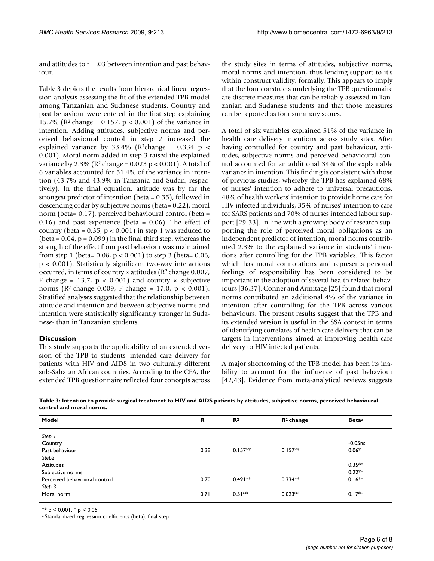and attitudes to  $r = .03$  between intention and past behaviour.

Table 3 depicts the results from hierarchical linear regression analysis assessing the fit of the extended TPB model among Tanzanian and Sudanese students. Country and past behaviour were entered in the first step explaining 15.7% ( $\mathbb{R}^2$  change = 0.157,  $p < 0.001$ ) of the variance in intention. Adding attitudes, subjective norms and perceived behavioural control in step 2 increased the explained variance by  $33.4\%$  (R<sup>2</sup>change = 0.334 p < 0.001). Moral norm added in step 3 raised the explained variance by 2.3% ( $\mathbb{R}^2$  change = 0.023 p < 0.001). A total of 6 variables accounted for 51.4% of the variance in intention (43.7% and 43.9% in Tanzania and Sudan, respectively). In the final equation, attitude was by far the strongest predictor of intention (beta = 0.35), followed in descending order by subjective norms (beta= 0.22), moral norm (beta= 0.17), perceived behavioural control (beta =  $0.16$ ) and past experience (beta =  $0.06$ ). The effect of country (beta =  $0.35$ ,  $p < 0.001$ ) in step 1 was reduced to (beta =  $0.04$ ,  $p = 0.099$ ) in the final third step, whereas the strength of the effect from past behaviour was maintained from step 1 (beta=  $0.08$ ,  $p < 0.001$ ) to step 3 (beta=  $0.06$ , p < 0.001). Statistically significant two-way interactions occurred, in terms of country  $\times$  attitudes ( $R^2$  change 0.007, F change = 13.7,  $p < 0.001$ ) and country  $\times$  subjective norms ( $R^2$  change 0.009, F change = 17.0,  $p < 0.001$ ). Stratified analyses suggested that the relationship between attitude and intention and between subjective norms and intention were statistically significantly stronger in Sudanese- than in Tanzanian students.

# **Discussion**

This study supports the applicability of an extended version of the TPB to students' intended care delivery for patients with HIV and AIDS in two culturally different sub-Saharan African countries. According to the CFA, the extended TPB questionnaire reflected four concepts across

the study sites in terms of attitudes, subjective norms, moral norms and intention, thus lending support to it's within construct validity, formally. This appears to imply that the four constructs underlying the TPB questionnaire are discrete measures that can be reliably assessed in Tanzanian and Sudanese students and that those measures can be reported as four summary scores.

A total of six variables explained 51% of the variance in health care delivery intentions across study sites. After having controlled for country and past behaviour, attitudes, subjective norms and perceived behavioural control accounted for an additional 34% of the explainable variance in intention. This finding is consistent with those of previous studies, whereby the TPB has explained 68% of nurses' intention to adhere to universal precautions, 48% of health workers' intention to provide home care for HIV infected individuals, 35% of nurses' intention to care for SARS patients and 70% of nurses intended labour support [29-33]. In line with a growing body of research supporting the role of perceived moral obligations as an independent predictor of intention, moral norms contributed 2.3% to the explained variance in students' intentions after controlling for the TPB variables. This factor which has moral connotations and represents personal feelings of responsibility has been considered to be important in the adoption of several health related behaviours [36,37]. Conner and Armitage [25] found that moral norms contributed an additional 4% of the variance in intention after controlling for the TPB across various behaviours. The present results suggest that the TPB and its extended version is useful in the SSA context in terms of identifying correlates of health care delivery that can be targets in interventions aimed at improving health care delivery to HIV infected patients.

A major shortcoming of the TPB model has been its inability to account for the influence of past behaviour [42,43]. Evidence from meta-analytical reviews suggests

**Table 3: Intention to provide surgical treatment to HIV and AIDS patients by attitudes, subjective norms, perceived behavioural control and moral norms.**

| Model                                                          | $\mathbf R$ | R <sup>2</sup> | $R^2$ change | Beta <sup>a</sup>                   |
|----------------------------------------------------------------|-------------|----------------|--------------|-------------------------------------|
| Step 1<br>Country<br>Past behaviour<br>Step2                   | 0.39        | $0.157**$      | $0.157**$    | $-0.05$ ns<br>$0.06*$               |
| Attitudes<br>Subjective norms<br>Perceived behavioural control | 0.70        | $0.491**$      | $0.334**$    | $0.35***$<br>$0.22***$<br>$0.16***$ |
| Step 3<br>Moral norm                                           | 0.71        | $0.51***$      | $0.023**$    | $0.17***$                           |

 $** p < 0.001, * p < 0.05$ 

a Standardized regression coefficients (beta), final step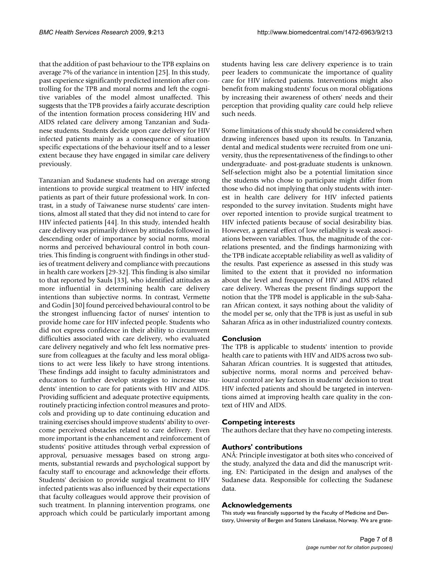that the addition of past behaviour to the TPB explains on average 7% of the variance in intention [25]. In this study, past experience significantly predicted intention after controlling for the TPB and moral norms and left the cognitive variables of the model almost unaffected. This suggests that the TPB provides a fairly accurate description of the intention formation process considering HIV and AIDS related care delivery among Tanzanian and Sudanese students. Students decide upon care delivery for HIV infected patients mainly as a consequence of situation specific expectations of the behaviour itself and to a lesser extent because they have engaged in similar care delivery previously.

Tanzanian and Sudanese students had on average strong intentions to provide surgical treatment to HIV infected patients as part of their future professional work. In contrast, in a study of Taiwanese nurse students' care intentions, almost all stated that they did not intend to care for HIV infected patients [44]. In this study, intended health care delivery was primarily driven by attitudes followed in descending order of importance by social norms, moral norms and perceived behavioural control in both countries. This finding is congruent with findings in other studies of treatment delivery and compliance with precautions in health care workers [29-32]. This finding is also similar to that reported by Sauls [33], who identified attitudes as more influential in determining health care delivery intentions than subjective norms. In contrast, Vermette and Godin [30] found perceived behavioural control to be the strongest influencing factor of nurses' intention to provide home care for HIV infected people. Students who did not express confidence in their ability to circumvent difficulties associated with care delivery, who evaluated care delivery negatively and who felt less normative pressure from colleagues at the faculty and less moral obligations to act were less likely to have strong intentions. These findings add insight to faculty administrators and educators to further develop strategies to increase students' intention to care for patients with HIV and AIDS. Providing sufficient and adequate protective equipments, routinely practicing infection control measures and protocols and providing up to date continuing education and training exercises should improve students' ability to overcome perceived obstacles related to care delivery. Even more important is the enhancement and reinforcement of students' positive attitudes through verbal expression of approval, persuasive messages based on strong arguments, substantial rewards and psychological support by faculty staff to encourage and acknowledge their efforts. Students' decision to provide surgical treatment to HIV infected patients was also influenced by their expectations that faculty colleagues would approve their provision of such treatment. In planning intervention programs, one approach which could be particularly important among students having less care delivery experience is to train peer leaders to communicate the importance of quality care for HIV infected patients. Interventions might also benefit from making students' focus on moral obligations by increasing their awareness of others' needs and their perception that providing quality care could help relieve such needs.

Some limitations of this study should be considered when drawing inferences based upon its results. In Tanzania, dental and medical students were recruited from one university, thus the representativeness of the findings to other undergraduate- and post-graduate students is unknown. Self-selection might also be a potential limitation since the students who chose to participate might differ from those who did not implying that only students with interest in health care delivery for HIV infected patients responded to the survey invitation. Students might have over reported intention to provide surgical treatment to HIV infected patients because of social desirability bias. However, a general effect of low reliability is weak associations between variables. Thus, the magnitude of the correlations presented, and the findings harmonizing with the TPB indicate acceptable reliability as well as validity of the results. Past experience as assessed in this study was limited to the extent that it provided no information about the level and frequency of HIV and AIDS related care delivery. Whereas the present findings support the notion that the TPB model is applicable in the sub-Saharan African context, it says nothing about the validity of the model per se, only that the TPB is just as useful in sub Saharan Africa as in other industrialized country contexts.

# **Conclusion**

The TPB is applicable to students' intention to provide health care to patients with HIV and AIDS across two sub-Saharan African countries. It is suggested that attitudes, subjective norms, moral norms and perceived behavioural control are key factors in students' decision to treat HIV infected patients and should be targeted in interventions aimed at improving health care quality in the context of HIV and AIDS.

# **Competing interests**

The authors declare that they have no competing interests.

# **Authors' contributions**

ANÅ: Principle investigator at both sites who conceived of the study, analyzed the data and did the manuscript writing. EN: Participated in the design and analyses of the Sudanese data. Responsible for collecting the Sudanese data.

# **Acknowledgements**

This study was financially supported by the Faculty of Medicine and Dentistry, University of Bergen and Statens Lånekasse, Norway. We are grate